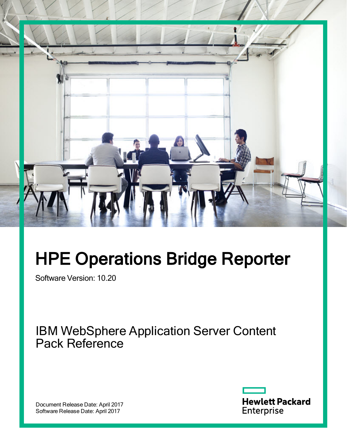

# HPE Operations Bridge Reporter

Software Version: 10.20

IBM WebSphere Application Server Content Pack Reference

Document Release Date: April 2017 Software Release Date: April 2017

**Hewlett Packard** Enterprise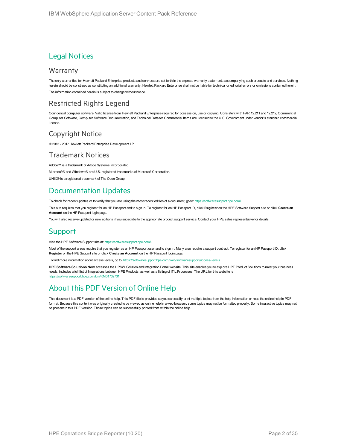#### Legal Notices

#### Warranty

The only warranties for Hewlett Packard Enterprise products and services are set forth in the express warranty statements accompanying such products and services. Nothing herein should be construed as constituting an additional warranty. Hewlett Packard Enterprise shall not be liable for technical or editorial errors or omissions contained herein. The information contained herein is subject to change without notice.

#### Restricted Rights Legend

Confidential computer software. Valid license from Hewlett Packard Enterprise required for possession, use or copying. Consistent with FAR 12.211 and 12.212, Commercial Computer Software, Computer Software Documentation, and Technical Data for Commercial Items are licensed to the U.S. Government under vendor's standard commercial license.

#### Copyright Notice

© 2015 - 2017 Hewlett Packard Enterprise Development LP

#### Trademark Notices

Adobe™ is a trademark of Adobe Systems Incorporated.

Microsoft® and Windows® are U.S. registered trademarks of Microsoft Corporation.

UNIX® is a registered trademark of The Open Group.

#### Documentation Updates

To check for recent updates or to verify that you are using the most recent edition of a document, go to: <https://softwaresupport.hpe.com/>.

This site requires that you register for an HP Passport and to sign in. To register for an HP Passport ID, click **Register** on the HPE Software Support site or click **Create an Account** on the HP Passport login page.

You will also receive updated or new editions if you subscribe to the appropriate product support service. Contact your HPE sales representative for details.

#### **Support**

Visit the HPE Software Support site at: <https://softwaresupport.hpe.com/>.

Most of the support areas require that you register as an HP Passport user and to sign in. Many also require a support contract. To register for an HP Passport ID, click **Register** on the HPE Support site or click **Create an Account** on the HP Passport login page.

To find more information about access levels, go to: <https://softwaresupport.hpe.com/web/softwaresupport/access-levels>.

**HPE Software Solutions Now** accesses the HPSW Solution and Integration Portal website. This site enables you to explore HPE Product Solutions to meet your business needs, includes a full list of Integrations between HPE Products, as well as a listing of ITIL Processes. The URL for this website is [https://softwaresupport.hpe.com/km/KM01702731.](https://softwaresupport.hpe.com/km/KM01702731)

#### About this PDF Version of Online Help

This document is a PDF version of the online help. This PDF file is provided so you can easily print multiple topics from the help information or read the online help in PDF format. Because this content was originally created to be viewed as online help in a web browser, some topics may not be formatted properly. Some interactive topics may not be present in this PDF version. Those topics can be successfully printed from within the online help.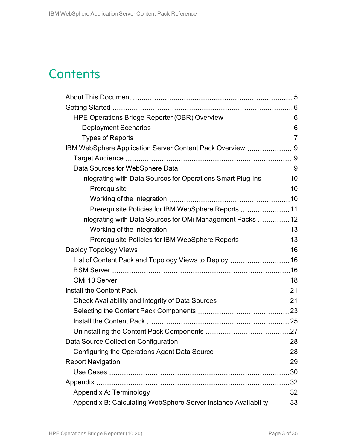## **Contents**

| IBM WebSphere Application Server Content Pack Overview  9          |  |
|--------------------------------------------------------------------|--|
|                                                                    |  |
|                                                                    |  |
| Integrating with Data Sources for Operations Smart Plug-ins 10     |  |
|                                                                    |  |
|                                                                    |  |
| Prerequisite Policies for IBM WebSphere Reports  11                |  |
| Integrating with Data Sources for OMi Management Packs  12         |  |
|                                                                    |  |
| Prerequisite Policies for IBM WebSphere Reports 13                 |  |
|                                                                    |  |
|                                                                    |  |
|                                                                    |  |
|                                                                    |  |
|                                                                    |  |
|                                                                    |  |
|                                                                    |  |
|                                                                    |  |
|                                                                    |  |
|                                                                    |  |
|                                                                    |  |
|                                                                    |  |
|                                                                    |  |
|                                                                    |  |
|                                                                    |  |
| Appendix B: Calculating WebSphere Server Instance Availability  33 |  |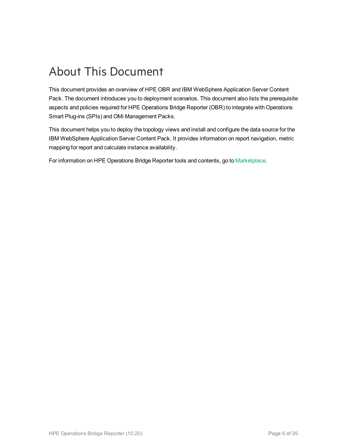## <span id="page-4-0"></span>About This Document

This document provides an overview of HPE OBR and IBM WebSphere Application Server Content Pack. The document introduces you to deployment scenarios. This document also lists the prerequisite aspects and policies required for HPE Operations Bridge Reporter (OBR) to integrate with Operations Smart Plug-ins (SPIs) and OMi Management Packs.

This document helps you to deploy the topology views and install and configure the data source for the IBM WebSphere Application Server Content Pack. It provides information on report navigation, metric mapping for report and calculate instance availability.

For information on HPE Operations Bridge Reporter tools and contents, go to [Marketplace.](https://marketplace.saas.hpe.com/itom/category/all?product=Operations%20Bridge%20Reporter&version=All%20versions&company=All%20companies)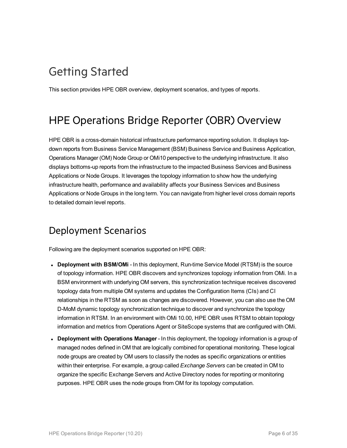## <span id="page-5-0"></span>Getting Started

<span id="page-5-1"></span>This section provides HPE OBR overview, deployment scenarios, and types of reports.

### HPE Operations Bridge Reporter (OBR) Overview

HPE OBR is a cross-domain historical infrastructure performance reporting solution. It displays topdown reports from Business Service Management (BSM) Business Service and Business Application, Operations Manager (OM) Node Group or OMi10 perspective to the underlying infrastructure. It also displays bottoms-up reports from the infrastructure to the impacted Business Services and Business Applications or Node Groups. It leverages the topology information to show how the underlying infrastructure health, performance and availability affects your Business Services and Business Applications or Node Groups in the long term. You can navigate from higher level cross domain reports to detailed domain level reports.

### <span id="page-5-2"></span>Deployment Scenarios

Following are the deployment scenarios supported on HPE OBR:

- **Deployment with BSM/OMi** In this deployment, Run-time Service Model (RTSM) is the source of topology information. HPE OBR discovers and synchronizes topology information from OMi. In a BSM environment with underlying OM servers, this synchronization technique receives discovered topology data from multiple OM systems and updates the Configuration Items (CIs) and CI relationships in the RTSM as soon as changes are discovered. However, you can also use the OM D-MoM dynamic topology synchronization technique to discover and synchronize the topology information in RTSM. In an environment with OMi 10.00, HPE OBR uses RTSM to obtain topology information and metrics from Operations Agent or SiteScope systems that are configured with OMi.
- <sup>l</sup> **Deployment with Operations Manager** In this deployment, the topology information is a group of managed nodes defined in OM that are logically combined for operational monitoring. These logical node groups are created by OM users to classify the nodes as specific organizations or entities within their enterprise. For example, a group called *Exchange Servers* can be created in OM to organize the specific Exchange Servers and Active Directory nodes for reporting or monitoring purposes. HPE OBR uses the node groups from OM for its topology computation.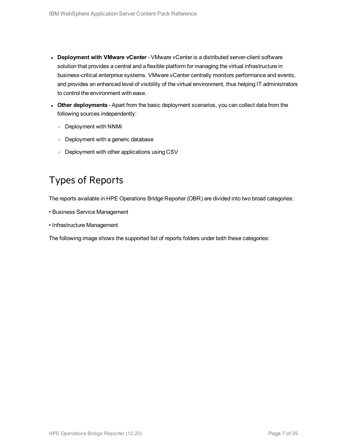- <sup>l</sup> **Deployment with VMware vCenter** VMware vCenter is a distributed server-client software solution that provides a central and a flexible platform for managing the virtual infrastructure in business-critical enterprise systems. VMware vCenter centrally monitors performance and events, and provides an enhanced level of visibility of the virtual environment, thus helping IT administrators to control the environment with ease.
- **.** Other deployments Apart from the basic deployment scenarios, you can collect data from the following sources independently:
	- <sup>o</sup> Deployment with NNMi
	- <sup>o</sup> Deployment with a generic database
	- <sup>o</sup> Deployment with other applications using CSV

#### <span id="page-6-0"></span>Types of Reports

The reports available in HPE Operations Bridge Reporter (OBR) are divided into two broad categories:

- Business Service Management
- Infrastructure Management

The following image shows the supported list of reports folders under both these categories: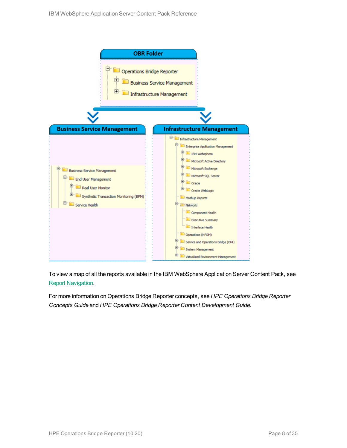

To view a map of all the reports available in the IBM WebSphere Application Server Content Pack, see Report [Navigation](#page-28-0).

For more information on Operations Bridge Reporter concepts, see *HPE Operations Bridge Reporter Concepts Guide* and *HPE Operations Bridge Reporter Content Development Guide*.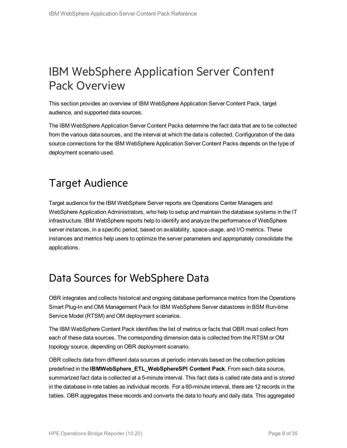## <span id="page-8-0"></span>IBM WebSphere Application Server Content Pack Overview

This section provides an overview of IBM WebSphere Application Server Content Pack, target audience, and supported data sources.

The IBM WebSphere Application Server Content Packs determine the fact data that are to be collected from the various data sources, and the interval at which the data is collected. Configuration of the data source connections for the IBM WebSphere Application Server Content Packs depends on the type of deployment scenario used.

## <span id="page-8-1"></span>Target Audience

Target audience for the IBM WebSphere Server reports are Operations Center Managers and WebSphere Application Administrators, who help to setup and maintain the database systems in the IT infrastructure. IBM WebSphere reports help to identify and analyze the performance of WebSphere server instances, in a specific period, based on availability, space usage, and I/O metrics. These instances and metrics help users to optimize the server parameters and appropriately consolidate the applications.

### <span id="page-8-2"></span>Data Sources for WebSphere Data

OBR integrates and collects historical and ongoing database performance metrics from the Operations Smart Plug-In and OMi Management Pack for IBM WebSphere Server datastores in BSM Run-time Service Model (RTSM) and OM deployment scenarios.

The IBM WebSphere Content Pack identifies the list of metrics or facts that OBR must collect from each of these data sources. The corresponding dimension data is collected from the RTSM or OM topology source, depending on OBR deployment scenario.

OBR collects data from different data sources at periodic intervals based on the collection policies predefined in the **IBMWebSphere\_ETL\_WebSphereSPI Content Pack**. From each data source, summarized fact data is collected at a 5-minute interval. This fact data is called rate data and is stored in the database in rate tables as individual records. For a 60-minute interval, there are 12 records in the tables. OBR aggregates these records and converts the data to hourly and daily data. This aggregated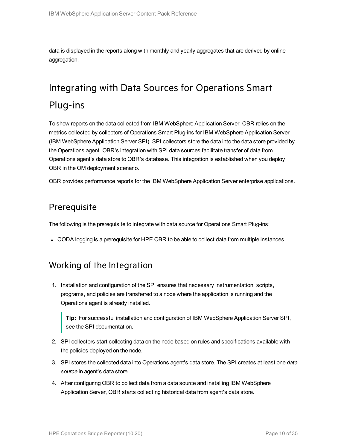<span id="page-9-0"></span>data is displayed in the reports along with monthly and yearly aggregates that are derived by online aggregation.

## Integrating with Data Sources for Operations Smart Plug-ins

To show reports on the data collected from IBM WebSphere Application Server, OBR relies on the metrics collected by collectors of Operations Smart Plug-ins for IBM WebSphere Application Server (IBM WebSphere Application Server SPI). SPI collectors store the data into the data store provided by the Operations agent. OBR's integration with SPI data sources facilitate transfer of data from Operations agent's data store to OBR's database. This integration is established when you deploy OBR in the OM deployment scenario.

<span id="page-9-1"></span>OBR provides performance reports for the IBM WebSphere Application Server enterprise applications.

#### **Prerequisite**

The following is the prerequisite to integrate with data source for Operations Smart Plug-ins:

<span id="page-9-2"></span>• CODA logging is a prerequisite for HPE OBR to be able to collect data from multiple instances.

#### Working of the Integration

1. Installation and configuration of the SPI ensures that necessary instrumentation, scripts, programs, and policies are transferred to a node where the application is running and the Operations agent is already installed.

**Tip:** For successful installation and configuration of IBM WebSphere Application Server SPI, see the SPI documentation.

- 2. SPI collectors start collecting data on the node based on rules and specifications available with the policies deployed on the node.
- 3. SPI stores the collected data into Operations agent's data store. The SPI creates at least one *data source* in agent's data store.
- 4. After configuring OBR to collect data from a data source and installing IBM WebSphere Application Server, OBR starts collecting historical data from agent's data store.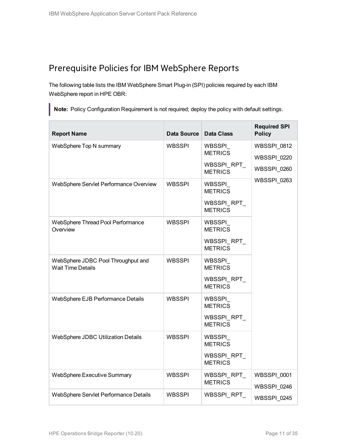#### <span id="page-10-0"></span>Prerequisite Policies for IBM WebSphere Reports

The following table lists the IBM WebSphere Smart Plug-in (SPI) policies required by each IBM WebSphere report in HPE OBR:

**Note:** Policy Configuration Requirement is not required; deploy the policy with default settings.

| <b>Report Name</b>                                             | Data Source   | <b>Data Class</b>                                          | <b>Required SPI</b><br><b>Policy</b>                    |
|----------------------------------------------------------------|---------------|------------------------------------------------------------|---------------------------------------------------------|
| WebSphere Top N summary                                        | WBSSPI        | WBSSPI_<br><b>METRICS</b><br>WBSSPI_RPT_<br><b>METRICS</b> | <b>WBSSPI 0812</b><br><b>WBSSPI 0220</b><br>WBSSPI_0260 |
| WebSphere Servlet Performance Overview                         | WBSSPI        | WBSSPI<br><b>METRICS</b><br>WBSSPI RPT<br><b>METRICS</b>   | WBSSPI_0263                                             |
| WebSphere Thread Pool Performance<br>Overview                  | <b>WBSSPI</b> | WBSSPI<br><b>METRICS</b><br>WBSSPI RPT<br><b>METRICS</b>   |                                                         |
| WebSphere JDBC Pool Throughput and<br><b>Wait Time Details</b> | <b>WBSSPI</b> | WBSSPI<br><b>METRICS</b><br>WBSSPI_RPT_<br><b>METRICS</b>  |                                                         |
| WebSphere EJB Performance Details                              | <b>WBSSPI</b> | WBSSPI<br><b>METRICS</b><br>WBSSPI_RPT_<br><b>METRICS</b>  |                                                         |
| WebSphere JDBC Utilization Details                             | <b>WBSSPI</b> | WBSSPI<br><b>METRICS</b><br>WBSSPI_RPT_<br><b>METRICS</b>  |                                                         |
| WebSphere Executive Summary                                    | WBSSPI        | WBSSPI_RPT_<br><b>METRICS</b>                              | WBSSPI_0001<br>WBSSPI 0246                              |
| WebSphere Servlet Performance Details                          | WBSSPI        | WBSSPI_RPT_                                                | WBSSPI_0245                                             |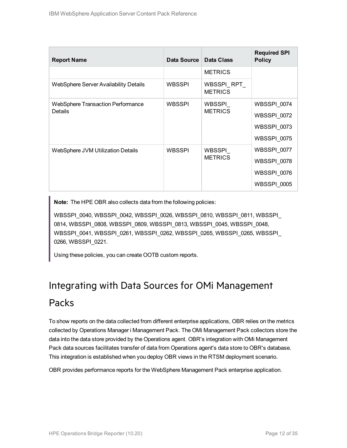| <b>Report Name</b>                       | Data Source   | Data Class                    | <b>Required SPI</b><br><b>Policy</b> |
|------------------------------------------|---------------|-------------------------------|--------------------------------------|
|                                          |               | <b>METRICS</b>                |                                      |
| WebSphere Server Availability Details    | <b>WBSSPI</b> | WBSSPI_RPT_<br><b>METRICS</b> |                                      |
| <b>WebSphere Transaction Performance</b> | <b>WBSSPI</b> | WBSSPI                        | WBSSPI 0074                          |
| Details                                  |               | <b>METRICS</b>                | <b>WBSSPI 0072</b>                   |
|                                          |               |                               | WBSSPI_0073                          |
|                                          |               |                               | WBSSPI 0075                          |
| WebSphere JVM Utilization Details        | <b>WBSSPI</b> | WBSSPI                        | WBSSPI 0077                          |
|                                          |               | <b>METRICS</b>                | WBSSPI 0078                          |
|                                          |               |                               | WBSSPI_0076                          |
|                                          |               |                               | WBSSPI_0005                          |

**Note:** The HPE OBR also collects data from the following policies:

WBSSPI\_0040, WBSSPI\_0042, WBSSPI\_0026, WBSSPI\_0810, WBSSPI\_0811, WBSSPI\_ 0814, WBSSPI\_0808, WBSSPI\_0809, WBSSPI\_0813, WBSSPI\_0045, WBSSPI\_0048, WBSSPI\_0041, WBSSPI\_0261, WBSSPI\_0262, WBSSPI\_0265, WBSSPI\_0265, WBSSPI\_ 0266, WBSSPI\_0221.

<span id="page-11-0"></span>Using these policies, you can create OOTB custom reports.

# Integrating with Data Sources for OMi Management

#### Packs

To show reports on the data collected from different enterprise applications, OBR relies on the metrics collected by Operations Manager i Management Pack. The OMi Management Pack collectors store the data into the data store provided by the Operations agent. OBR's integration with OMi Management Pack data sources facilitates transfer of data from Operations agent's data store to OBR's database. This integration is established when you deploy OBR views in the RTSM deployment scenario.

OBR provides performance reports for the WebSphere Management Pack enterprise application.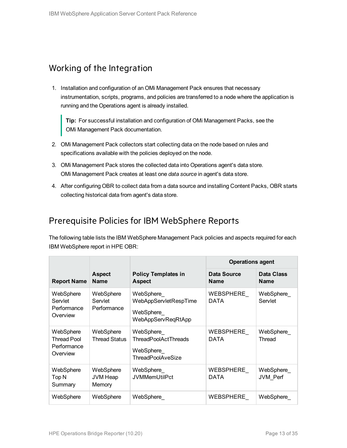#### <span id="page-12-0"></span>Working of the Integration

1. Installation and configuration of an OMi Management Pack ensures that necessary instrumentation, scripts, programs, and policies are transferred to a node where the application is running and the Operations agent is already installed.

**Tip:** For successful installation and configuration of OMi Management Packs, see the OMi Management Pack documentation.

- 2. OMi Management Pack collectors start collecting data on the node based on rules and specifications available with the policies deployed on the node.
- 3. OMi Management Pack stores the collected data into Operations agent's data store. OMi Management Pack creates at least one *data source* in agent's data store.
- 4. After configuring OBR to collect data from a data source and installing Content Packs, OBR starts collecting historical data from agent's data store.

#### <span id="page-12-1"></span>Prerequisite Policies for IBM WebSphere Reports

The following table lists the IBM WebSphere Management Pack policies and aspects required for each IBM WebSphere report in HPE OBR:

|                                                            |                                        |                                                                                   | <b>Operations agent</b>           |                                  |
|------------------------------------------------------------|----------------------------------------|-----------------------------------------------------------------------------------|-----------------------------------|----------------------------------|
| <b>Report Name</b>                                         | <b>Aspect</b><br><b>Name</b>           | <b>Policy Templates in</b><br><b>Aspect</b>                                       | <b>Data Source</b><br><b>Name</b> | <b>Data Class</b><br><b>Name</b> |
| WebSphere<br>Servlet<br>Performance<br>Overview            | WebSphere<br>Servlet<br>Performance    | WebSphere<br>WebAppServletRespTime<br>WebSphere<br>WebAppServReqRtApp             | WEBSPHERE<br><b>DATA</b>          | WebSphere_<br>Servlet            |
| WebSphere<br><b>Thread Pool</b><br>Performance<br>Overview | WebSphere<br><b>Thread Status</b>      | WebSphere<br><b>ThreadPoolActThreads</b><br>WebSphere<br><b>ThreadPoolAveSize</b> | WEBSPHERE<br><b>DATA</b>          | WebSphere<br>Thread              |
| WebSphere<br>Top N<br>Summary                              | WebSphere<br><b>JVM Heap</b><br>Memory | WebSphere<br><b>JVMMemUtilPct</b>                                                 | WEBSPHERE<br><b>DATA</b>          | WebSphere<br>JVM Perf            |
| WebSphere                                                  | WebSphere                              | WebSphere                                                                         | WEBSPHERE                         | WebSphere                        |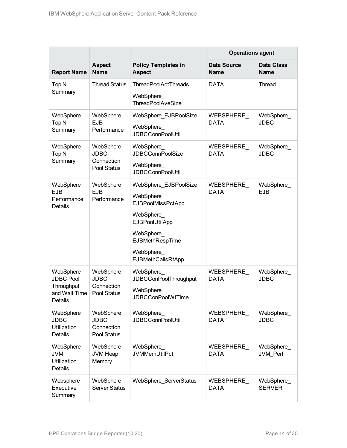|                                                                         |                                                       |                                                                                                                                                                           | <b>Operations agent</b>           |                                  |
|-------------------------------------------------------------------------|-------------------------------------------------------|---------------------------------------------------------------------------------------------------------------------------------------------------------------------------|-----------------------------------|----------------------------------|
| <b>Report Name</b>                                                      | <b>Aspect</b><br><b>Name</b>                          | <b>Policy Templates in</b><br><b>Aspect</b>                                                                                                                               | <b>Data Source</b><br><b>Name</b> | <b>Data Class</b><br><b>Name</b> |
| Top <sub>N</sub><br>Summary                                             | <b>Thread Status</b>                                  | <b>ThreadPoolActThreads</b><br>WebSphere_<br><b>ThreadPoolAveSize</b>                                                                                                     | <b>DATA</b>                       | <b>Thread</b>                    |
| WebSphere<br>Top <sub>N</sub><br>Summary                                | WebSphere<br><b>EJB</b><br>Performance                | WebSphere_EJBPoolSize<br>WebSphere_<br><b>JDBCConnPoolUtil</b>                                                                                                            | WEBSPHERE<br><b>DATA</b>          | WebSphere<br><b>JDBC</b>         |
| WebSphere<br>Top <sub>N</sub><br>Summary                                | WebSphere<br><b>JDBC</b><br>Connection<br>Pool Status | WebSphere_<br><b>JDBCConnPoolSize</b><br>WebSphere_<br><b>JDBCConnPoolUtil</b>                                                                                            | WEBSPHERE<br><b>DATA</b>          | WebSphere_<br><b>JDBC</b>        |
| WebSphere<br><b>EJB</b><br>Performance<br>Details                       | WebSphere<br><b>EJB</b><br>Performance                | WebSphere_EJBPoolSize<br>WebSphere<br><b>EJBPoolMissPctApp</b><br>WebSphere_<br>EJBPoolUtilApp<br>WebSphere_<br>EJBMethRespTime<br>WebSphere_<br><b>EJBMethCallsRtApp</b> | WEBSPHERE<br><b>DATA</b>          | WebSphere<br><b>EJB</b>          |
| WebSphere<br><b>JDBC Pool</b><br>Throughput<br>and Wait Time<br>Details | WebSphere<br><b>JDBC</b><br>Connection<br>Pool Status | WebSphere<br>JDBCConPoolThroughput<br>WebSphere<br><b>JDBCConPoolWtTime</b>                                                                                               | WEBSPHERE<br><b>DATA</b>          | WebSphere_<br><b>JDBC</b>        |
| WebSphere<br><b>JDBC</b><br>Utilization<br><b>Details</b>               | WebSphere<br><b>JDBC</b><br>Connection<br>Pool Status | WebSphere_<br><b>JDBCConnPoolUtil</b>                                                                                                                                     | WEBSPHERE<br><b>DATA</b>          | WebSphere<br><b>JDBC</b>         |
| WebSphere<br><b>JVM</b><br><b>Utilization</b><br>Details                | WebSphere<br>JVM Heap<br>Memory                       | WebSphere_<br><b>JVMMemUtilPct</b>                                                                                                                                        | WEBSPHERE<br><b>DATA</b>          | WebSphere<br>JVM Perf            |
| Websphere<br>Executive<br>Summary                                       | WebSphere<br>Server Status                            | WebSphere_ServerStatus                                                                                                                                                    | WEBSPHERE_<br><b>DATA</b>         | WebSphere_<br><b>SERVER</b>      |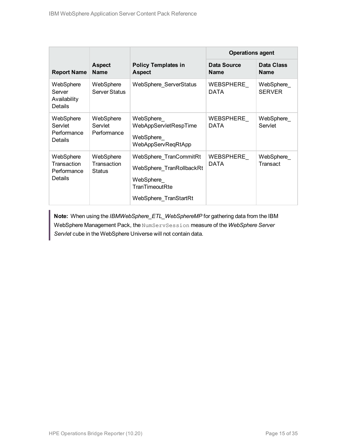|                                                    |                                           |                                                                                                             | <b>Operations agent</b>           |                                  |
|----------------------------------------------------|-------------------------------------------|-------------------------------------------------------------------------------------------------------------|-----------------------------------|----------------------------------|
| <b>Report Name</b>                                 | <b>Aspect</b><br><b>Name</b>              | <b>Policy Templates in</b><br><b>Aspect</b>                                                                 | <b>Data Source</b><br><b>Name</b> | <b>Data Class</b><br><b>Name</b> |
| WebSphere<br>Server<br>Availability<br>Details     | WebSphere<br>Server Status                | WebSphere ServerStatus                                                                                      | WEBSPHERE<br><b>DATA</b>          | WebSphere<br><b>SERVER</b>       |
| WebSphere<br>Servlet<br>Performance<br>Details     | WebSphere<br>Servlet<br>Performance       | WebSphere<br>WebAppServletRespTime<br>WebSphere<br>WebAppServReqRtApp                                       | WEBSPHERE<br><b>DATA</b>          | WebSphere<br>Servlet             |
| WebSphere<br>Transaction<br>Performance<br>Details | WebSphere<br>Transaction<br><b>Status</b> | WebSphere TranCommitRt<br>WebSphere TranRollbackRt<br>WebSphere_<br>TranTimeoutRte<br>WebSphere TranStartRt | WEBSPHERE<br><b>DATA</b>          | WebSphere_<br>Transact           |

**Note:** When using the *IBMWebSphere\_ETL\_WebSphereMP* for gathering data from the IBM WebSphere Management Pack, the NumServSession measure of the *WebSphere Server Servlet* cube in the WebSphere Universe will not contain data.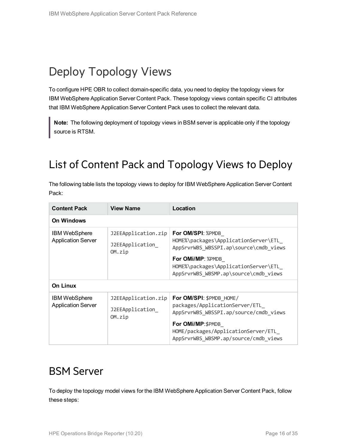## <span id="page-15-0"></span>Deploy Topology Views

To configure HPE OBR to collect domain-specific data, you need to deploy the topology views for IBM WebSphere Application Server Content Pack. These topology views contain specific CI attributes that IBM WebSphere Application Server Content Pack uses to collect the relevant data.

<span id="page-15-1"></span>**Note:** The following deployment of topology views in BSM server is applicable only if the topology source is RTSM.

## List of Content Pack and Topology Views to Deploy

| The following table lists the topology views to deploy for IBM WebSphere Application Server Content |  |
|-----------------------------------------------------------------------------------------------------|--|
| Pack:                                                                                               |  |

| <b>Content Pack</b>                               | <b>View Name</b>                                 | Location                                                                                                                                                                                                  |
|---------------------------------------------------|--------------------------------------------------|-----------------------------------------------------------------------------------------------------------------------------------------------------------------------------------------------------------|
| <b>On Windows</b>                                 |                                                  |                                                                                                                                                                                                           |
| <b>IBM WebSphere</b><br><b>Application Server</b> | J2EEApplication.zip<br>J2EEApplication<br>OM.zip | For OM/SPI: %PMDB<br>HOME%\packages\ApplicationServer\ETL<br>AppSrvrWBS_WBSSPI.ap\source\cmdb_views<br><b>For OMi/MP: %PMDB</b><br>HOME%\packages\ApplicationServer\ETL                                   |
|                                                   |                                                  | AppSrvrWBS_WBSMP.ap\source\cmdb_views                                                                                                                                                                     |
| <b>On Linux</b>                                   |                                                  |                                                                                                                                                                                                           |
| <b>IBM WebSphere</b><br><b>Application Server</b> | J2EEApplication.zip<br>J2EEApplication<br>OM.zip | For OM/SPI: \$PMDB HOME/<br>packages/ApplicationServer/ETL<br>AppSrvrWBS_WBSSPI.ap/source/cmdb_views<br>For OMi/MP:\$PMDB<br>HOME/packages/ApplicationServer/ETL<br>AppSrvrWBS WBSMP.ap/source/cmdb views |

### <span id="page-15-2"></span>BSM Server

To deploy the topology model views for the IBM WebSphere Application Server Content Pack, follow these steps: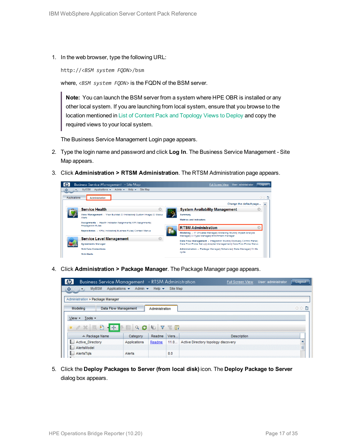1. In the web browser, type the following URL:

http://*<BSM system FQDN>*/bsm

where, *<BSM system FQDN>* is the FQDN of the BSM server.

**Note:** You can launch the BSM server from a system where HPE OBR is installed or any other local system. If you are launching from local system, ensure that you browse to the location mentioned in List of Content Pack and [Topology](#page-15-1) Views to Deploy and copy the required views to your local system.

The Business Service Management Login page appears.

- 2. Type the login name and password and click **Log In**. The Business Service Management Site Map appears.
- 3. Click **Administration > RTSM Administration**. The RTSM Administration page appears.



4. Click **Administration > Package Manager**. The Package Manager page appears.

| Business Service Management - RTSM Administration<br>$\omega$ |                                                     |                           |           | <b>Full Screen View</b>             | User: administrator | Logout            |
|---------------------------------------------------------------|-----------------------------------------------------|---------------------------|-----------|-------------------------------------|---------------------|-------------------|
| ♦<br><b>MyBSM</b><br>G)<br>$\mathbf{r}$                       | Applications $\blacktriangleright$<br>Admin $\star$ | Help $\blacktriangledown$ | Site Map  |                                     |                     |                   |
| Administration > Package Manager                              |                                                     |                           |           |                                     |                     |                   |
| Modeling                                                      | <b>Data Flow Management</b>                         | Administration            |           |                                     |                     | ○○■               |
| Tools -<br>$View -$                                           |                                                     |                           |           |                                     |                     |                   |
| 一顿<br>自<br>$*$ $\alpha$ $\alpha$                              | $\alpha$<br>0                                       | $\sqrt{ }$<br>¢           | <b>WE</b> |                                     |                     |                   |
| ≐ Package Name                                                | Category                                            | Readme                    | Vers      | <b>Description</b>                  |                     |                   |
| Active Directory                                              | Applications                                        | Readme                    | 11.0      | Active Directory topology discovery |                     | <b>CONTRACTOR</b> |
| AlertsModel<br>l a                                            |                                                     |                           |           |                                     |                     | E                 |
| AlertsTals<br>L.                                              | Alerts                                              |                           | 8.0       |                                     |                     |                   |
|                                                               |                                                     |                           |           |                                     |                     |                   |

5. Click the **Deploy Packages to Server (from local disk)** icon. The **Deploy Package to Server** dialog box appears.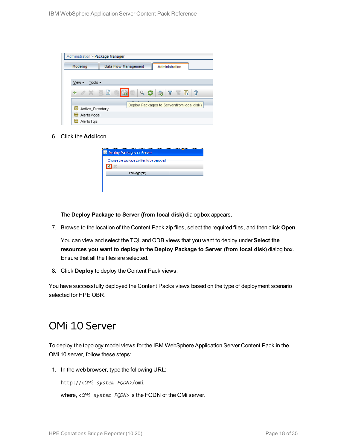| Administration > Package Manager         |                                                                                                                                                  |
|------------------------------------------|--------------------------------------------------------------------------------------------------------------------------------------------------|
| Modeling                                 | Data Flow Management<br>Administration                                                                                                           |
|                                          |                                                                                                                                                  |
| Tools $\overline{\phantom{a}}$<br>View - |                                                                                                                                                  |
| $\alpha \times \alpha$<br>÷              | 圃<br>$Q \n  Q \n  Q \n  Q \n  Q \n  Q \n  Q \n  Q \n  Q \n  Q \n  Q \n  Q \n  Q \n  Q \n  Q \n  Q \n  Q \n  Q \n  Q \n  Q \n  Q \n  Q \n  Q-?W.$ |
|                                          | Deploy Packages to Server (from local disk)                                                                                                      |
| Active Directory                         |                                                                                                                                                  |
| H<br><b>AlertsModel</b>                  |                                                                                                                                                  |
| AlertsTals                               |                                                                                                                                                  |

6. Click the **Add** icon.

| <b>Deploy Packages to Server</b>            |  |
|---------------------------------------------|--|
| Choose the package zip files to be deployed |  |
| Package(zip)                                |  |
|                                             |  |

The **Deploy Package to Server (from local disk)** dialog box appears.

7. Browse to the location of the Content Pack zip files, select the required files, and then click **Open**.

You can view and select the TQL and ODB views that you want to deploy under **Select the resources you want to deploy** in the **Deploy Package to Server (from local disk)** dialog box. Ensure that all the files are selected.

8. Click **Deploy** to deploy the Content Pack views.

<span id="page-17-0"></span>You have successfully deployed the Content Packs views based on the type of deployment scenario selected for HPE OBR.

### OMi 10 Server

To deploy the topology model views for the IBM WebSphere Application Server Content Pack in the OMi 10 server, follow these steps:

1. In the web browser, type the following URL:

http://*<OMi system FQDN>*/omi

where, *<OMi system FQDN>* is the FQDN of the OMi server.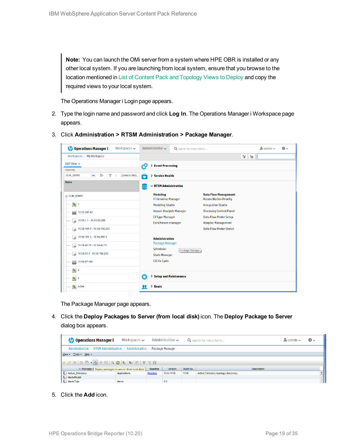**Note:** You can launch the OMi server from a system where HPE OBR is installed or any other local system. If you are launching from local system, ensure that you browse to the location mentioned in List of Content Pack and [Topology](#page-15-1) Views to Deploy and copy the required views to your local system.

The Operations Manager i Login page appears.

- 2. Type the login name and password and click **Log In**. The Operations Manager i Workspace page appears.
- 3. Click **Administration > RTSM Administration > Package Manager**.

| <b>Operations Manager i</b><br>Workspaces $\smile$                        | Administration $\sim$                         | Q search for menu items |                                                               | $\Delta$ admin $\sim$ | $\Omega$ |
|---------------------------------------------------------------------------|-----------------------------------------------|-------------------------|---------------------------------------------------------------|-----------------------|----------|
| Workspaces > My Workspace                                                 |                                               |                         |                                                               | V.<br>$E =$           |          |
| 360° View x                                                               | > Event Processing<br>łФ                      |                         |                                                               |                       |          |
| Hierarchy                                                                 |                                               |                         |                                                               |                       |          |
| Þ<br>EUM_BSMR<br>$\checkmark$<br>Y<br>[Select a Filter]<br>$\overline{Y}$ | ô<br>> Service Health                         |                         |                                                               |                       |          |
| Name                                                                      | $\sim$ RTSM Administration                    |                         |                                                               |                       |          |
| E EUM_BSMR                                                                | <b>Modeling</b><br><b>IT Universe Manager</b> |                         | <b>Data Flow Management</b><br><b>Reconciliation Priority</b> |                       |          |
| $\boxed{0}$ 1                                                             | <b>Modeling Studio</b>                        |                         | <b>Integration Studio</b>                                     |                       |          |
| U<br>16.55.245.42                                                         | <b>Impact Analysis Manager</b>                |                         | <b>Discovery Control Panel</b>                                |                       |          |
| $\bullet$ 16.59.1.1 - 16.59.50.255                                        | <b>CI Type Manager</b><br>Enrichment manager  |                         | <b>Data Flow Probe Setup</b><br><b>Adapter Management</b>     |                       |          |
| $\bigotimes$ 16.59.101.1 - 16.59.150.255                                  |                                               |                         | <b>Data Flow Probe Status</b>                                 |                       |          |
|                                                                           | <b>Administration</b>                         |                         |                                                               |                       |          |
| $\bigcirc$ 16.59.42.70 - 16.59.42.70                                      | <b>Package Manager</b><br>Scheduler           |                         |                                                               |                       |          |
| $\bigotimes$ 16.59.51.1 - 16.59.100.255                                   | <b>State Manager</b>                          | Package Manager         |                                                               |                       |          |
| 16.59.67.149<br>▄                                                         | <b>CI Life Cycle</b>                          |                         |                                                               |                       |          |
| $\left[ \bigcirc \right]$ 2                                               |                                               |                         |                                                               |                       |          |
| $\Theta$ 4                                                                | Ö<br>> Setup and Maintenance                  |                         |                                                               |                       |          |
| Active                                                                    | $\angle$ Users<br>я                           |                         |                                                               |                       |          |

The Package Manager page appears.

4. Click the **Deploy Packages to Server (from local disk)** icon. The **Deploy Package to Server** dialog box appears.

| <b>Operations Manager i</b>                                             | Workspaces $\sim$ |        | Administration $\sim$ |          | Q search for menu items             | $\rightarrow$ admin $\sim$ | $\bullet$ |  |
|-------------------------------------------------------------------------|-------------------|--------|-----------------------|----------|-------------------------------------|----------------------------|-----------|--|
| Administration > RTSM Administration > Administration > Package Manager |                   |        |                       |          |                                     |                            |           |  |
| View - Tools - Help -                                                   |                   |        |                       |          |                                     |                            |           |  |
|                                                                         |                   |        |                       |          |                                     |                            |           |  |
| ≐ Package N Deploy packages to server (from local disk)                 |                   | Readme | Version               | Build Nu | <b>Description</b>                  |                            |           |  |
| Active_Directory                                                        | Applications      | Readme | 13.0-1179             | 1179     | Active Directory topology discovery |                            |           |  |
| AlertsModel                                                             |                   |        |                       |          |                                     |                            |           |  |
| AlertsTals                                                              | Alerts            |        | 8.0                   |          |                                     |                            |           |  |

5. Click the **Add** icon.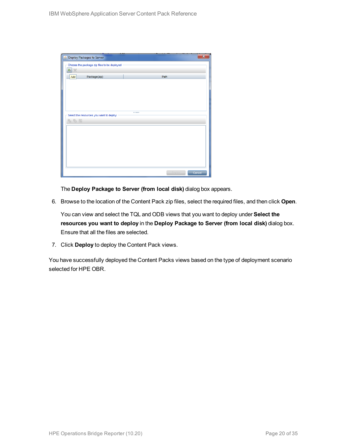| Deploy Packages to Server                   |        | $\overline{\mathbf{x}}$ |
|---------------------------------------------|--------|-------------------------|
| Choose the package zip files to be deployed |        |                         |
| 臺<br>$\chi$                                 |        |                         |
| Package(zip)<br>Add                         | Path   |                         |
|                                             |        |                         |
|                                             |        |                         |
|                                             |        |                         |
|                                             |        |                         |
|                                             |        |                         |
| Select the resources you want to deploy     |        |                         |
| 名马路                                         |        |                         |
|                                             |        |                         |
|                                             |        |                         |
|                                             |        |                         |
|                                             |        |                         |
|                                             |        |                         |
|                                             |        |                         |
|                                             |        |                         |
|                                             | Deploy | Cancel                  |

The **Deploy Package to Server (from local disk)** dialog box appears.

6. Browse to the location of the Content Pack zip files, select the required files, and then click **Open**.

You can view and select the TQL and ODB views that you want to deploy under **Select the resources you want to deploy** in the **Deploy Package to Server (from local disk)** dialog box. Ensure that all the files are selected.

7. Click **Deploy** to deploy the Content Pack views.

You have successfully deployed the Content Packs views based on the type of deployment scenario selected for HPE OBR.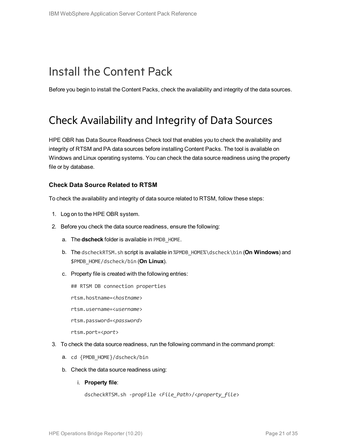## <span id="page-20-0"></span>Install the Content Pack

<span id="page-20-1"></span>Before you begin to install the Content Packs, check the availability and integrity of the data sources.

### Check Availability and Integrity of Data Sources

HPE OBR has Data Source Readiness Check tool that enables you to check the availability and integrity of RTSM and PA data sources before installing Content Packs. The tool is available on Windows and Linux operating systems. You can check the data source readiness using the property file or by database.

#### **Check Data Source Related to RTSM**

To check the availability and integrity of data source related to RTSM, follow these steps:

- 1. Log on to the HPE OBR system.
- 2. Before you check the data source readiness, ensure the following:
	- a. The **dscheck** folder is available in PMDB\_HOME.
	- b. The dscheckRTSM.sh script is available in %PMDB\_HOME%\dscheck\bin (**On Windows**) and \$PMDB\_HOME/dscheck/bin (**On Linux**).
	- c. Property file is created with the following entries:
		- ## RTSM DB connection properties
		- rtsm.hostname=<*hostname*>
		- rtsm.username=<*username*>
		- rtsm.password=<*password*>

rtsm.port=<*port*>

- 3. To check the data source readiness, run the following command in the command prompt:
	- a. cd {PMDB\_HOME}/dscheck/bin
	- b. Check the data source readiness using:
		- i. **Property file**:

```
dscheckRTSM.sh -propFile <File_Path>/<property_file>
```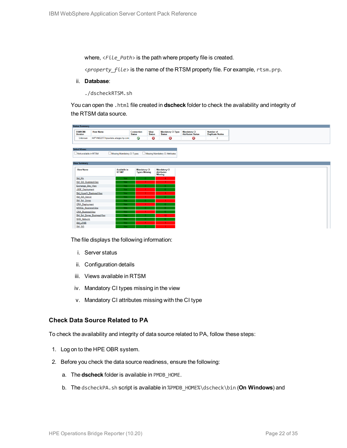where,  $\langle$ File Path> is the path where property file is created.

<*property\_file*> is the name of the RTSM property file. For example, rtsm.prp.

ii. **Database**:

./dscheckRTSM.sh

You can open the .html file created in **dscheck** folder to check the availability and integrity of the RTSM data source.

| <b>Status Summary</b>            |                                   |                            |                                    |                              |                                           |                                           |                                            |
|----------------------------------|-----------------------------------|----------------------------|------------------------------------|------------------------------|-------------------------------------------|-------------------------------------------|--------------------------------------------|
| <b>BSM/OMi</b><br><b>Version</b> | <b>Host Name</b>                  |                            | <b>Connection</b><br><b>Status</b> | <b>View</b><br><b>Status</b> | <b>Mandatory CI Type</b><br><b>Status</b> | <b>Mandatory CI<br/>Attributes Status</b> | <b>Number of</b><br><b>Duplicate Nodes</b> |
| Unknown                          | IWFVM02277.hpswlabs.adapps.hp.com |                            | Ø                                  | Ø                            | 0                                         | Ø                                         | $\bullet$                                  |
|                                  |                                   |                            |                                    |                              |                                           |                                           |                                            |
|                                  |                                   |                            |                                    |                              |                                           |                                           |                                            |
| <b>Select Views:</b>             |                                   |                            |                                    |                              |                                           |                                           |                                            |
| Not available in RTSM            |                                   | Missing Mandatory CI Types |                                    |                              | Missing Mandatory CI Attributes           |                                           |                                            |
|                                  |                                   |                            |                                    |                              |                                           |                                           |                                            |
| <b>View Summary</b>              |                                   |                            |                                    |                              |                                           |                                           |                                            |
|                                  |                                   |                            |                                    |                              |                                           |                                           |                                            |
| <b>View Name</b>                 |                                   | <b>Available in</b>        | <b>Mandatory CI</b>                |                              | <b>Mandatory CI</b>                       |                                           |                                            |
|                                  |                                   | RTSM?                      | <b>Types Missing</b>               |                              | <b>Attributes</b><br><b>Missing</b>       |                                           |                                            |
| SM_PA                            |                                   | Yes:                       |                                    |                              | z                                         |                                           |                                            |
| SM SiS BusinessView              |                                   | Yes:                       |                                    |                              | $\blacksquare$                            |                                           |                                            |
| Exchange Site View               |                                   | Yes                        |                                    |                              |                                           |                                           |                                            |
| J2EE_Deployment                  |                                   | Yes:                       |                                    |                              |                                           |                                           |                                            |
| SM_HyperV_BusinessView           |                                   | Yes:                       |                                    |                              | 3 <sup>1</sup>                            |                                           |                                            |
| SM_SiS_Server                    |                                   | Yes                        |                                    |                              |                                           |                                           |                                            |
| SM Sol Zones                     |                                   | Yes.                       |                                    |                              |                                           |                                           |                                            |
| <b>ORA</b> Deployment            |                                   | Yes                        |                                    |                              |                                           |                                           |                                            |
| MSSQL BusinessView               |                                   | Yes                        |                                    |                              |                                           |                                           |                                            |
| <b>ORA BusinessView</b>          |                                   | Yes:                       |                                    |                              |                                           |                                           |                                            |
|                                  | SM_Sol_Zones_BusinessView         | Yes.                       |                                    |                              | 12 <sub>1</sub>                           |                                           |                                            |
| <b>SHR_Network</b>               |                                   | <b>Yes</b>                 |                                    |                              |                                           |                                           |                                            |
| <b>SM_LPAR</b>                   |                                   | Yes:                       |                                    |                              |                                           |                                           |                                            |
| SM SiS                           |                                   | Yes:                       |                                    |                              |                                           |                                           |                                            |

The file displays the following information:

- i. Server status
- ii. Configuration details
- iii. Views available in RTSM
- iv. Mandatory CI types missing in the view
- v. Mandatory CI attributes missing with the CI type

#### **Check Data Source Related to PA**

To check the availability and integrity of data source related to PA, follow these steps:

- 1. Log on to the HPE OBR system.
- 2. Before you check the data source readiness, ensure the following:
	- a. The **dscheck** folder is available in PMDB\_HOME.
	- b. The dscheckPA.sh script is available in %PMDB\_HOME%\dscheck\bin (**On Windows**) and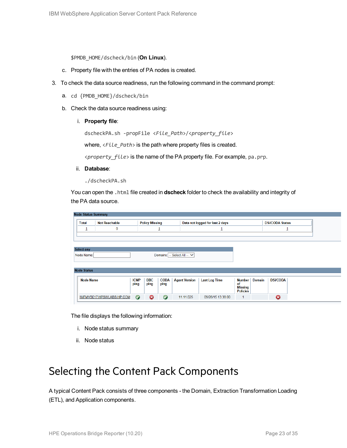\$PMDB\_HOME/dscheck/bin (**On Linux**).

- c. Property file with the entries of PA nodes is created.
- 3. To check the data source readiness, run the following command in the command prompt:
	- a. cd {PMDB\_HOME}/dscheck/bin
	- b. Check the data source readiness using:
		- i. **Property file**:

dscheckPA.sh -propFile <*File\_Path*>/<*property\_file*>

where,  $\langle$ File\_Path> is the path where property files is created.

<*property\_file*> is the name of the PA property file. For example, pa.prp.

- ii. **Database**:
	- ./dscheckPA.sh

You can open the .html file created in **dscheck** folder to check the availability and integrity of the PA data source.

| <b>Node Status Summary</b> |                           |             |                       |             |                             |                                 |                        |               |                 |  |
|----------------------------|---------------------------|-------------|-----------------------|-------------|-----------------------------|---------------------------------|------------------------|---------------|-----------------|--|
| <b>Total</b>               | <b>Not Reachable</b>      |             | <b>Policy Missing</b> |             |                             | Data not logged for last 2 days | <b>DSi/CODA Status</b> |               |                 |  |
| ┚                          | $\mathbf 0$               |             |                       | ┚           |                             |                                 |                        |               |                 |  |
|                            |                           |             |                       |             |                             |                                 |                        |               |                 |  |
|                            |                           |             |                       |             |                             |                                 |                        |               |                 |  |
| <b>Select any</b>          |                           |             |                       |             |                             |                                 |                        |               |                 |  |
| Node Name:                 |                           |             |                       |             | Domains: -- Select All -- V |                                 |                        |               |                 |  |
|                            |                           |             |                       |             |                             |                                 |                        |               |                 |  |
| <b>Node Status</b>         |                           |             |                       |             |                             |                                 |                        |               |                 |  |
|                            |                           |             |                       |             |                             |                                 |                        |               |                 |  |
| <b>Node Name</b>           |                           | <b>ICMP</b> | <b>BBC</b>            | <b>CODA</b> | <b>Agent Version</b>        | <b>Last Log Time</b>            | Number                 | <b>Domain</b> | <b>DSi/CODA</b> |  |
|                            |                           | ping        | ping                  | ping        |                             |                                 | of<br><b>Missing</b>   |               |                 |  |
|                            |                           |             |                       |             |                             |                                 | <b>Policies</b>        |               |                 |  |
|                            | IWFMVS017.HPSWLABS.HP.COM | $\bullet$   | ణ                     | $\bullet$   | 11.11.025                   | 09/28/15 13:38:00               | 1                      |               | 0               |  |

The file displays the following information:

- i. Node status summary
- ii. Node status

### <span id="page-22-0"></span>Selecting the Content Pack Components

A typical Content Pack consists of three components - the Domain, Extraction Transformation Loading (ETL), and Application components.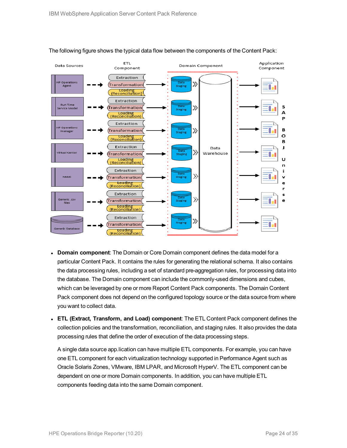

#### The following figure shows the typical data flow between the components of the Content Pack:

- **Domain component**: The Domain or Core Domain component defines the data model for a particular Content Pack. It contains the rules for generating the relational schema. It also contains the data processing rules, including a set of standard pre-aggregation rules, for processing data into the database. The Domain component can include the commonly-used dimensions and cubes, which can be leveraged by one or more Report Content Pack components. The Domain Content Pack component does not depend on the configured topology source or the data source from where you want to collect data.
- <sup>l</sup> **ETL (Extract, Transform, and Load) component**: The ETL Content Pack component defines the collection policies and the transformation, reconciliation, and staging rules. It also provides the data processing rules that define the order of execution of the data processing steps.

A single data source app.lication can have multiple ETL components. For example, you can have one ETL component for each virtualization technology supported in Performance Agent such as Oracle Solaris Zones, VMware, IBM LPAR, and Microsoft HyperV. The ETL component can be dependent on one or more Domain components. In addition, you can have multiple ETL components feeding data into the same Domain component.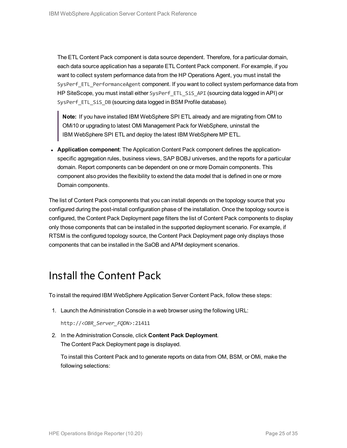The ETL Content Pack component is data source dependent. Therefore, for a particular domain, each data source application has a separate ETL Content Pack component. For example, if you want to collect system performance data from the HP Operations Agent, you must install the SysPerf\_ETL\_PerformanceAgent component. If you want to collect system performance data from HP SiteScope, you must install either SysPerf\_ETL\_SiS\_API (sourcing data logged in API) or SysPerf ETL SiS DB (sourcing data logged in BSM Profile database).

**Note:** If you have installed IBM WebSphere SPI ETL already and are migrating from OM to OMi10 or upgrading to latest OMi Management Pack for WebSphere, uninstall the IBM WebSphere SPI ETL and deploy the latest IBM WebSphere MP ETL.

**• Application component**: The Application Content Pack component defines the applicationspecific aggregation rules, business views, SAP BOBJ universes, and the reports for a particular domain. Report components can be dependent on one or more Domain components. This component also provides the flexibility to extend the data model that is defined in one or more Domain components.

The list of Content Pack components that you can install depends on the topology source that you configured during the post-install configuration phase of the installation. Once the topology source is configured, the Content Pack Deployment page filters the list of Content Pack components to display only those components that can be installed in the supported deployment scenario. For example, if RTSM is the configured topology source, the Content Pack Deployment page only displays those components that can be installed in the SaOB and APM deployment scenarios.

### <span id="page-24-0"></span>Install the Content Pack

To install the required IBM WebSphere Application Server Content Pack, follow these steps:

1. Launch the Administration Console in a web browser using the following URL:

http://*<OBR\_Server\_FQDN>*:21411

2. In the Administration Console, click **Content Pack Deployment**. The Content Pack Deployment page is displayed.

To install this Content Pack and to generate reports on data from OM, BSM, or OMi, make the following selections: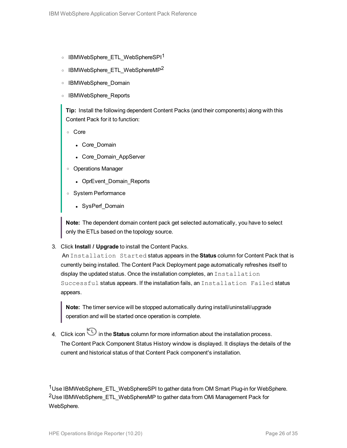- o IBMWebSphere ETL WebSphereSPI<sup>1</sup>
- o IBMWebSphere ETL WebSphereMP<sup>2</sup>
- <sup>o</sup> IBMWebSphere\_Domain
- <sup>o</sup> IBMWebSphere\_Reports

**Tip:** Install the following dependent Content Packs (and their components) along with this Content Pack for it to function:

- <sup>o</sup> Core
	- Core\_Domain
	- Core Domain AppServer
- <sup>o</sup> Operations Manager
	- OprEvent\_Domain\_Reports
- <sup>o</sup> System Performance
	- SysPerf Domain

**Note:** The dependent domain content pack get selected automatically, you have to select only the ETLs based on the topology source.

3. Click **Install / Upgrade** to install the Content Packs.

An Installation Started status appears in the **Status** column for Content Pack that is currently being installed. The Content Pack Deployment page automatically refreshes itself to display the updated status. Once the installation completes, an Installation Successful status appears. If the installation fails, an Installation Failed status appears.

**Note:** The timer service will be stopped automatically during install/uninstall/upgrade operation and will be started once operation is complete.

4. Click icon in the **Status** column for more information about the installation process. The Content Pack Component Status History window is displayed. It displays the details of the current and historical status of that Content Pack component's installation.

<sup>1</sup>Use IBMWebSphere\_ETL\_WebSphereSPI to gather data from OM Smart Plug-in for WebSphere. 2Use IBMWebSphere\_ETL\_WebSphereMP to gather data from OMi Management Pack for WebSphere.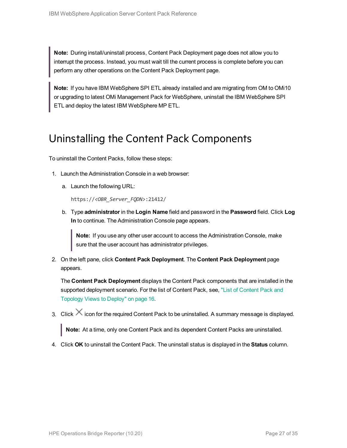**Note:** During install/uninstall process, Content Pack Deployment page does not allow you to interrupt the process. Instead, you must wait till the current process is complete before you can perform any other operations on the Content Pack Deployment page.

**Note:** If you have IBM WebSphere SPI ETL already installed and are migrating from OM to OMi10 or upgrading to latest OMi Management Pack for WebSphere, uninstall the IBM WebSphere SPI ETL and deploy the latest IBM WebSphere MP ETL.

### <span id="page-26-0"></span>Uninstalling the Content Pack Components

To uninstall the Content Packs, follow these steps:

- 1. Launch the Administration Console in a web browser:
	- a. Launch the following URL:

https://*<OBR\_Server\_FQDN>*:21412/

b. Type **administrator** in the **Login Name** field and password in the **Password** field. Click **Log In** to continue. The Administration Console page appears.

**Note:** If you use any other user account to access the Administration Console, make sure that the user account has administrator privileges.

2. On the left pane, click **Content Pack Deployment**. The **Content Pack Deployment** page appears.

The **Content Pack Deployment** displays the Content Pack components that are installed in the supported deployment scenario. For the list of Content Pack, see, "List of [Content](#page-15-1) Pack and [Topology](#page-15-1) Views to Deploy" on page 16.

3. Click  $\times$  icon for the required Content Pack to be uninstalled. A summary message is displayed.

**Note:** At a time, only one Content Pack and its dependent Content Packs are uninstalled.

4. Click **OK** to uninstall the Content Pack. The uninstall status is displayed in the **Status** column.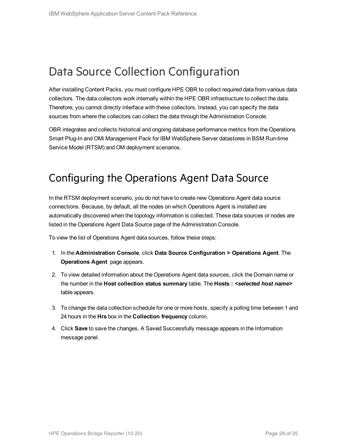## <span id="page-27-0"></span>Data Source Collection Configuration

After installing Content Packs, you must configure HPE OBR to collect required data from various data collectors. The data collectors work internally within the HPE OBR infrastructure to collect the data. Therefore, you cannot directly interface with these collectors. Instead, you can specify the data sources from where the collectors can collect the data through the Administration Console.

OBR integrates and collects historical and ongoing database performance metrics from the Operations Smart Plug-In and OMi Management Pack for IBM WebSphere Server datastores in BSM Run-time Service Model (RTSM) and OM deployment scenarios.

### <span id="page-27-1"></span>Configuring the Operations Agent Data Source

In the RTSM deployment scenario, you do not have to create new Operations Agent data source connections. Because, by default, all the nodes on which Operations Agent is installed are automatically discovered when the topology information is collected. These data sources or nodes are listed in the Operations Agent Data Source page of the Administration Console.

To view the list of Operations Agent data sources, follow these steps:

- 1. In the **Administration Console**, click **Data Source Configuration > Operations Agent**. The **Operations Agent** page appears.
- 2. To view detailed information about the Operations Agent data sources, click the Domain name or the number in the **Host collection status summary** table. The **Hosts :** *<selected host name>* table appears.
- 3. To change the data collection schedule for one or more hosts, specify a polling time between 1 and 24 hours in the **Hrs** box in the **Collection frequency** column.
- 4. Click **Save** to save the changes. A Saved Successfully message appears in the Information message panel.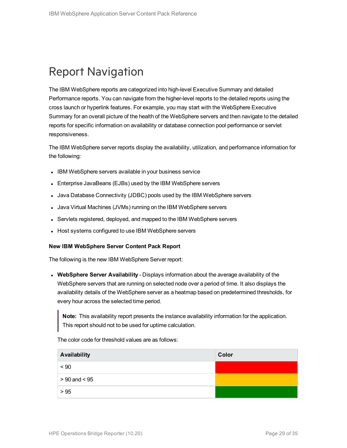## <span id="page-28-0"></span>Report Navigation

The IBM WebSphere reports are categorized into high-level Executive Summary and detailed Performance reports. You can navigate from the higher-level reports to the detailed reports using the cross launch or hyperlink features. For example, you may start with the WebSphere Executive Summary for an overall picture of the health of the WebSphere servers and then navigate to the detailed reports for specific information on availability or database connection pool performance or servlet responsiveness.

The IBM WebSphere server reports display the availability, utilization, and performance information for the following:

- IBM WebSphere servers available in your business service
- Enterprise JavaBeans (EJBs) used by the IBM WebSphere servers
- Java Database Connectivity (JDBC) pools used by the IBM WebSphere servers
- Java Virtual Machines (JVMs) running on the IBM WebSphere servers
- Servlets registered, deployed, and mapped to the IBM WebSphere servers
- Host systems configured to use IBM WebSphere servers

#### **New IBM WebSphere Server Content Pack Report**

The following is the new IBM WebSphere Server report:

<sup>l</sup> **WebSphere Server Availability** - Displays information about the average availability of the WebSphere servers that are running on selected node over a period of time. It also displays the availability details of the WebSphere server as a heatmap based on predetermined thresholds, for every hour across the selected time period.

**Note:** This availability report presents the instance availability information for the application. This report should not to be used for uptime calculation.

The color code for threshold values are as follows:

| Availability      | Color |
|-------------------|-------|
| ~< 90             |       |
| $> 90$ and $< 95$ |       |
| > 95              |       |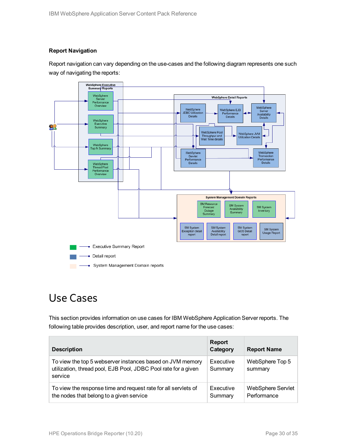#### **Report Navigation**

Report navigation can vary depending on the use-cases and the following diagram represents one such way of navigating the reports:



### <span id="page-29-0"></span>Use Cases

This section provides information on use cases for IBM WebSphere Application Server reports. The following table provides description, user, and report name for the use cases:

| <b>Description</b>                                                                                                                     | <b>Report</b><br>Category | <b>Report Name</b>               |
|----------------------------------------------------------------------------------------------------------------------------------------|---------------------------|----------------------------------|
| To view the top 5 webserver instances based on JVM memory<br>utilization, thread pool, EJB Pool, JDBC Pool rate for a given<br>service | Executive<br>Summary      | WebSphere Top 5<br>summary       |
| To view the response time and request rate for all servlets of<br>the nodes that belong to a given service                             | Executive<br>Summary      | WebSphere Servlet<br>Performance |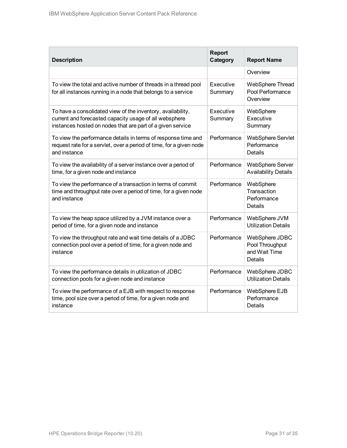| <b>Description</b>                                                                                                                                                                  | <b>Report</b><br>Category | <b>Report Name</b>                                            |
|-------------------------------------------------------------------------------------------------------------------------------------------------------------------------------------|---------------------------|---------------------------------------------------------------|
|                                                                                                                                                                                     |                           | Overview                                                      |
| To view the total and active number of threads in a thread pool<br>for all instances running in a node that belongs to a service                                                    | Executive<br>Summary      | <b>WebSphere Thread</b><br>Pool Performance<br>Overview       |
| To have a consolidated view of the inventory, availability,<br>current and forecasted capacity usage of all websphere<br>instances hosted on nodes that are part of a given service | Executive<br>Summary      | WebSphere<br>Executive<br>Summary                             |
| To view the performance details in terms of response time and<br>request rate for a servlet, over a period of time, for a given node<br>and instance                                | Performance               | WebSphere Servlet<br>Performance<br><b>Details</b>            |
| To view the availability of a server instance over a period of<br>time, for a given node and instance                                                                               | Performance               | <b>WebSphere Server</b><br><b>Availability Details</b>        |
| To view the performance of a transaction in terms of commit<br>time and throughput rate over a period of time, for a given node<br>and instance                                     | Performance               | WebSphere<br>Transaction<br>Performance<br>Details            |
| To view the heap space utilized by a JVM instance over a<br>period of time, for a given node and instance                                                                           | Performance               | WebSphere JVM<br><b>Utilization Details</b>                   |
| To view the throughput rate and wait time details of a JDBC<br>connection pool over a period of time, for a given node and<br>instance                                              | Performance               | WebSphere JDBC<br>Pool Throughput<br>and Wait Time<br>Details |
| To view the performance details in utilization of JDBC<br>connection pools for a given node and instance                                                                            | Performance               | WebSphere JDBC<br><b>Utilization Details</b>                  |
| To view the performance of a EJB with respect to response<br>time, pool size over a period of time, for a given node and<br>instance                                                | Performance               | WebSphere EJB<br>Performance<br><b>Details</b>                |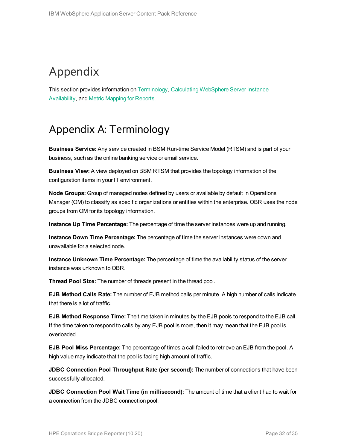## <span id="page-31-0"></span>Appendix

<span id="page-31-1"></span>This section provides information on [Terminology](#page-31-1), Calculating [WebSphere](#page-32-0) Server Instance [Availability,](#page-32-0) and Metric [Mapping](#page-33-0) for Reports.

## Appendix A: Terminology

**Business Service:** Any service created in BSM Run-time Service Model (RTSM) and is part of your business, such as the online banking service or email service.

**Business View:** A view deployed on BSM RTSM that provides the topology information of the configuration items in your IT environment.

**Node Groups:** Group of managed nodes defined by users or available by default in Operations Manager (OM) to classify as specific organizations or entities within the enterprise. OBR uses the node groups from OM for its topology information.

**Instance Up Time Percentage:** The percentage of time the server instances were up and running.

**Instance Down Time Percentage:** The percentage of time the server instances were down and unavailable for a selected node.

**Instance Unknown Time Percentage:** The percentage of time the availability status of the server instance was unknown to OBR.

**Thread Pool Size:** The number of threads present in the thread pool.

**EJB Method Calls Rate:** The number of EJB method calls per minute. A high number of calls indicate that there is a lot of traffic.

**EJB Method Response Time:** The time taken in minutes by the EJB pools to respond to the EJB call. If the time taken to respond to calls by any EJB pool is more, then it may mean that the EJB pool is overloaded.

**EJB Pool Miss Percentage:** The percentage of times a call failed to retrieve an EJB from the pool. A high value may indicate that the pool is facing high amount of traffic.

**JDBC Connection Pool Throughput Rate (per second):** The number of connections that have been successfully allocated.

**JDBC Connection Pool Wait Time (in millisecond):** The amount of time that a client had to wait for a connection from the JDBC connection pool.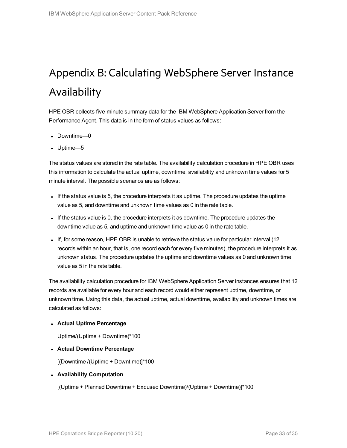## <span id="page-32-0"></span>Appendix B: Calculating WebSphere Server Instance Availability

HPE OBR collects five-minute summary data for the IBM WebSphere Application Server from the Performance Agent. This data is in the form of status values as follows:

- Downtime—0
- $\bullet$  Uptime—5

The status values are stored in the rate table. The availability calculation procedure in HPE OBR uses this information to calculate the actual uptime, downtime, availability and unknown time values for 5 minute interval. The possible scenarios are as follows:

- If the status value is 5, the procedure interprets it as uptime. The procedure updates the uptime value as 5, and downtime and unknown time values as 0 in the rate table.
- If the status value is 0, the procedure interprets it as downtime. The procedure updates the downtime value as 5, and uptime and unknown time value as 0 in the rate table.
- If, for some reason, HPE OBR is unable to retrieve the status value for particular interval (12 records within an hour, that is, one record each for every five minutes), the procedure interprets it as unknown status. The procedure updates the uptime and downtime values as 0 and unknown time value as 5 in the rate table.

The availability calculation procedure for IBM WebSphere Application Server instances ensures that 12 records are available for every hour and each record would either represent uptime, downtime, or unknown time. Using this data, the actual uptime, actual downtime, availability and unknown times are calculated as follows:

#### <sup>l</sup> **Actual Uptime Percentage**

Uptime/(Uptime + Downtime)\*100

<sup>l</sup> **Actual Downtime Percentage**

[(Downtime /(Uptime + Downtime)]\*100

#### <sup>l</sup> **Availability Computation**

[(Uptime + Planned Downtime + Excused Downtime)/(Uptime + Downtime)]\*100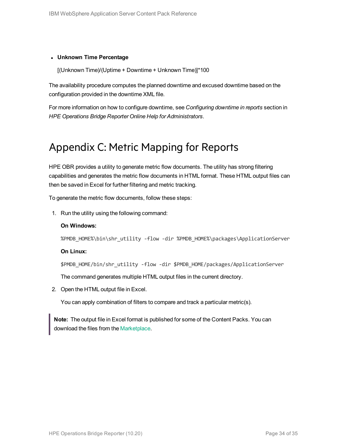#### <sup>l</sup> **Unknown Time Percentage**

[(Unknown Time)/(Uptime + Downtime + Unknown Time)]\*100

The availability procedure computes the planned downtime and excused downtime based on the configuration provided in the downtime XML file.

<span id="page-33-0"></span>For more information on how to configure downtime, see *Configuring downtime in reports* section in *HPE Operations Bridge Reporter Online Help for Administrators*.

### Appendix C: Metric Mapping for Reports

HPE OBR provides a utility to generate metric flow documents. The utility has strong filtering capabilities and generates the metric flow documents in HTML format. These HTML output files can then be saved in Excel for further filtering and metric tracking.

To generate the metric flow documents, follow these steps:

1. Run the utility using the following command:

#### **On Windows:**

%PMDB\_HOME%\bin\shr\_utility -flow -dir %PMDB\_HOME%\packages\ApplicationServer

#### **On Linux:**

\$PMDB\_HOME/bin/shr\_utility -flow -dir \$PMDB\_HOME/packages/ApplicationServer

The command generates multiple HTML output files in the current directory.

2. Open the HTML output file in Excel.

You can apply combination of filters to compare and track a particular metric(s).

**Note:** The output file in Excel format is published for some of the Content Packs. You can download the files from the [Marketplace.](https://hpln.hp.com/node/24267/attachment)